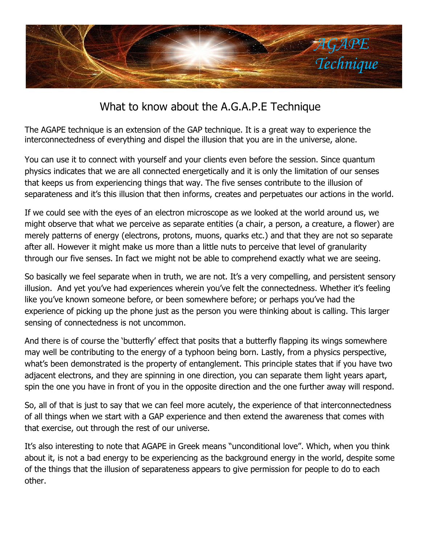

## What to know about the A.G.A.P.E Technique

The AGAPE technique is an extension of the GAP technique. It is a great way to experience the interconnectedness of everything and dispel the illusion that you are in the universe, alone.

You can use it to connect with yourself and your clients even before the session. Since quantum physics indicates that we are all connected energetically and it is only the limitation of our senses that keeps us from experiencing things that way. The five senses contribute to the illusion of separateness and it's this illusion that then informs, creates and perpetuates our actions in the world.

If we could see with the eyes of an electron microscope as we looked at the world around us, we might observe that what we perceive as separate entities (a chair, a person, a creature, a flower) are merely patterns of energy (electrons, protons, muons, quarks etc.) and that they are not so separate after all. However it might make us more than a little nuts to perceive that level of granularity through our five senses. In fact we might not be able to comprehend exactly what we are seeing.

So basically we feel separate when in truth, we are not. It's a very compelling, and persistent sensory illusion. And yet you've had experiences wherein you've felt the connectedness. Whether it's feeling like you've known someone before, or been somewhere before; or perhaps you've had the experience of picking up the phone just as the person you were thinking about is calling. This larger sensing of connectedness is not uncommon.

And there is of course the 'butterfly' effect that posits that a butterfly flapping its wings somewhere may well be contributing to the energy of a typhoon being born. Lastly, from a physics perspective, what's been demonstrated is the property of entanglement. This principle states that if you have two adjacent electrons, and they are spinning in one direction, you can separate them light years apart, spin the one you have in front of you in the opposite direction and the one further away will respond.

So, all of that is just to say that we can feel more acutely, the experience of that interconnectedness of all things when we start with a GAP experience and then extend the awareness that comes with that exercise, out through the rest of our universe.

It's also interesting to note that AGAPE in Greek means "unconditional love". Which, when you think about it, is not a bad energy to be experiencing as the background energy in the world, despite some of the things that the illusion of separateness appears to give permission for people to do to each other.